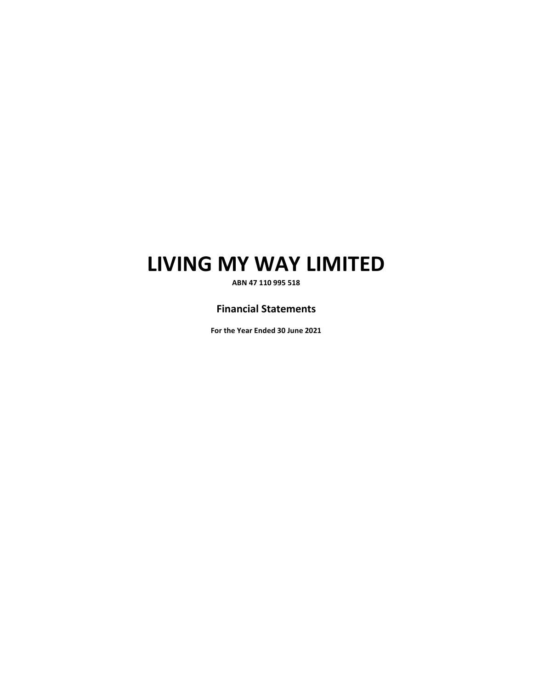**ABN 47 110 995 518** 

# **Financial Statements**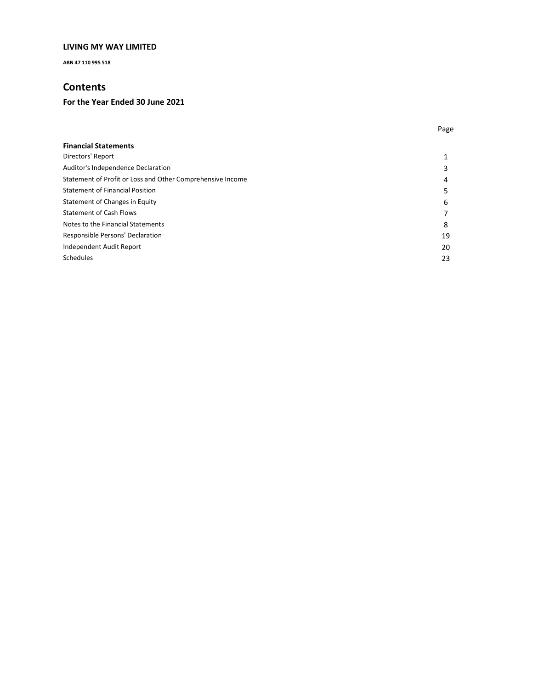**ABN 47 110 995 518** 

# **Contents**

| <b>Financial Statements</b>                                |    |
|------------------------------------------------------------|----|
| Directors' Report                                          |    |
| Auditor's Independence Declaration                         | 3  |
| Statement of Profit or Loss and Other Comprehensive Income | 4  |
| <b>Statement of Financial Position</b>                     | 5  |
| Statement of Changes in Equity                             | 6  |
| <b>Statement of Cash Flows</b>                             | 7  |
| Notes to the Financial Statements                          | 8  |
| Responsible Persons' Declaration                           | 19 |
| Independent Audit Report                                   | 20 |
| Schedules                                                  | 23 |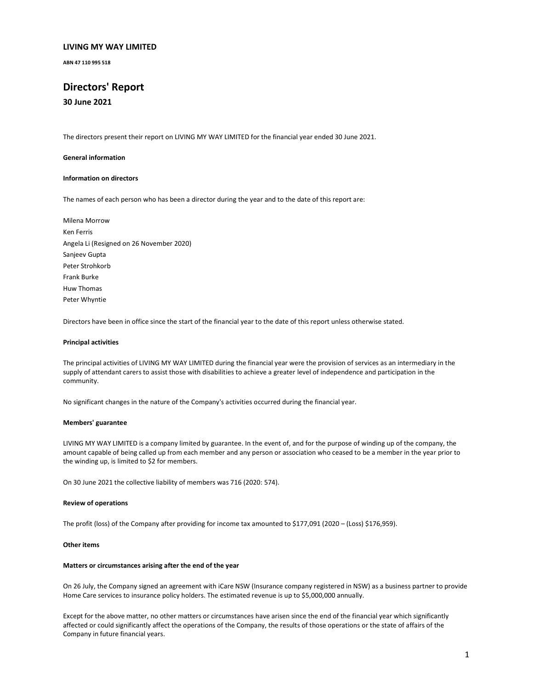**ABN 47 110 995 518** 

# **Directors' Report**

**30 June 2021** 

The directors present their report on LIVING MY WAY LIMITED for the financial year ended 30 June 2021.

#### **General information**

#### **Information on directors**

The names of each person who has been a director during the year and to the date of this report are:

Milena Morrow Ken Ferris Angela Li (Resigned on 26 November 2020) Sanjeev Gupta Peter Strohkorb Frank Burke Huw Thomas Peter Whyntie

Directors have been in office since the start of the financial year to the date of this report unless otherwise stated.

#### **Principal activities**

The principal activities of LIVING MY WAY LIMITED during the financial year were the provision of services as an intermediary in the supply of attendant carers to assist those with disabilities to achieve a greater level of independence and participation in the community.

No significant changes in the nature of the Company's activities occurred during the financial year.

#### **Members' guarantee**

LIVING MY WAY LIMITED is a company limited by guarantee. In the event of, and for the purpose of winding up of the company, the amount capable of being called up from each member and any person or association who ceased to be a member in the year prior to the winding up, is limited to \$2 for members.

On 30 June 2021 the collective liability of members was 716 (2020: 574).

#### **Review of operations**

The profit (loss) of the Company after providing for income tax amounted to \$177,091 (2020 – (Loss) \$176,959).

#### **Other items**

#### **Matters or circumstances arising after the end of the year**

On 26 July, the Company signed an agreement with iCare NSW (Insurance company registered in NSW) as a business partner to provide Home Care services to insurance policy holders. The estimated revenue is up to \$5,000,000 annually.

Except for the above matter, no other matters or circumstances have arisen since the end of the financial year which significantly affected or could significantly affect the operations of the Company, the results of those operations or the state of affairs of the Company in future financial years.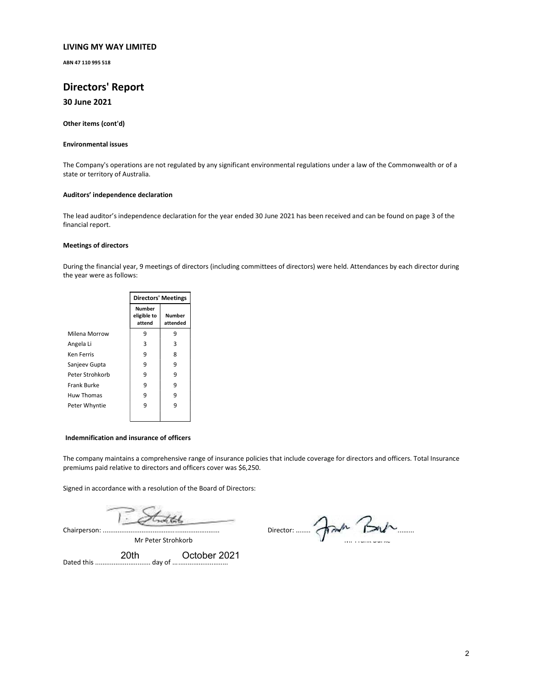**ABN 47 110 995 518** 

# **Directors' Report**

## **30 June 2021**

**Other items (cont'd)** 

#### **Environmental issues**

The Company's operations are not regulated by any significant environmental regulations under a law of the Commonwealth or of a state or territory of Australia.

#### **Auditors' independence declaration**

The lead auditor's independence declaration for the year ended 30 June 2021 has been received and can be found on page 3 of the financial report.

#### **Meetings of directors**

During the financial year, 9 meetings of directors (including committees of directors) were held. Attendances by each director during the year were as follows:

|                   | <b>Directors' Meetings</b>      |                    |  |
|-------------------|---------------------------------|--------------------|--|
|                   | Number<br>eligible to<br>attend | Number<br>attended |  |
| Milena Morrow     | 9                               | 9                  |  |
| Angela Li         | 3                               | 3                  |  |
| Ken Ferris        | 9                               | 8                  |  |
| Sanjeev Gupta     | 9                               | 9                  |  |
| Peter Strohkorb   | 9                               | 9                  |  |
| Frank Burke       | 9                               | 9                  |  |
| <b>Huw Thomas</b> | 9                               | 9                  |  |
| Peter Whyntie     | 9                               | 9                  |  |
|                   |                                 |                    |  |

#### **Indemnification and insurance of officers**

The company maintains a comprehensive range of insurance policies that include coverage for directors and officers. Total Insurance premiums paid relative to directors and officers cover was \$6,250.

Signed in accordance with a resolution of the Board of Directors:

Chairperson: ...............................................................

Mr Peter Strohkorb

Director: ................................................................ Mr Frank Burke

Dated this .............................. day of .............................. 20th October 2021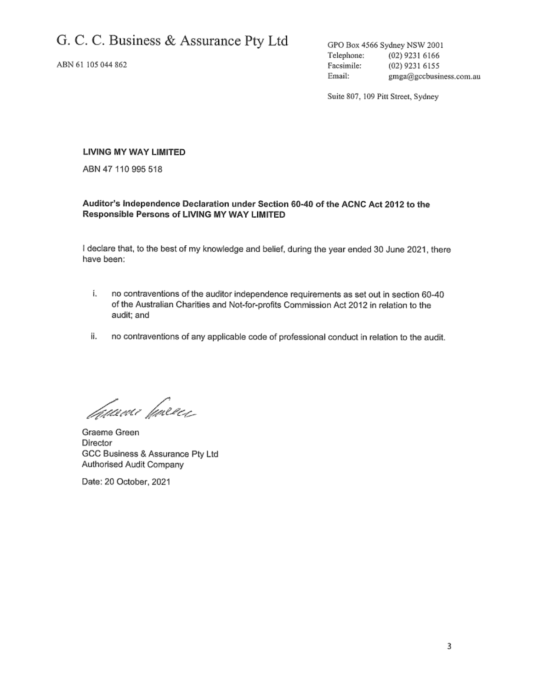ABN 61 105 044 862

GPO Box 4566 Sydney NSW 2001 Telephone:  $(02)$  9231 6166 Facsimile: (02) 9231 6155 Email: gmga@gccbusiness.com.au

Suite 807, 109 Pitt Street, Sydney

## LIVING MY WAY LIMITED

ABN 47 110 995 518

## Auditor's Independence Declaration under Section 60-40 of the ACNC Act 2012 to the Responsible Persons of LIVING MY WAY LIMITED

I declare that, to the best of my knowledge and belief, during the year ended 30 June 2021, there have been:

- í. no contraventions of the auditor independence requirements as set out in section 60-40 of the Australian Charities and Not-for-profits Commission Act 2012 in relation to the audit; and
- ij. no contraventions of any applicable code of professional conduct in relation to the audit.

*Tauxu*e facece

Graeme Green Director GCC Business & Assurance Pty Ltd Authorised Audit Company

Date: 20 October, 2021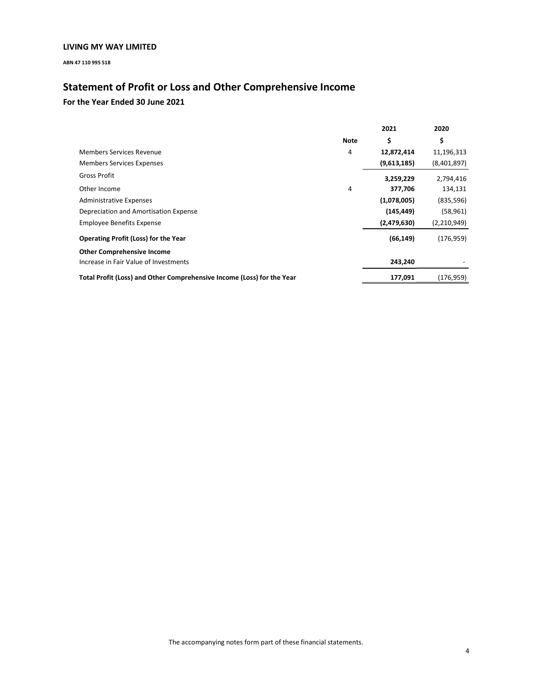**ABN 47 110 995 518** 

# **Statement of Profit or Loss and Other Comprehensive Income**

|                                                                        |      | 2021        | 2020          |
|------------------------------------------------------------------------|------|-------------|---------------|
|                                                                        | Note | \$          | \$            |
| Members Services Revenue                                               | 4    | 12,872,414  | 11,196,313    |
| <b>Members Services Expenses</b>                                       |      | (9,613,185) | (8,401,897)   |
| Gross Profit                                                           |      | 3,259,229   | 2,794,416     |
| Other Income                                                           | 4    | 377,706     | 134,131       |
| <b>Administrative Expenses</b>                                         |      | (1,078,005) | (835, 596)    |
| Depreciation and Amortisation Expense                                  |      | (145, 449)  | (58, 961)     |
| <b>Employee Benefits Expense</b>                                       |      | (2,479,630) | (2, 210, 949) |
| <b>Operating Profit (Loss) for the Year</b>                            |      | (66, 149)   | (176, 959)    |
| <b>Other Comprehensive Income</b>                                      |      |             |               |
| Increase in Fair Value of Investments                                  |      | 243,240     |               |
| Total Profit (Loss) and Other Comprehensive Income (Loss) for the Year |      | 177,091     | (176, 959)    |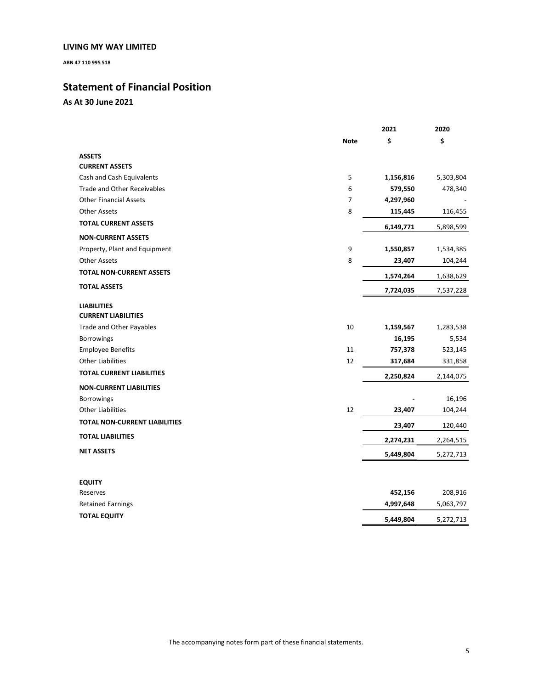**ABN 47 110 995 518** 

# **Statement of Financial Position**

**As At 30 June 2021** 

|                                      |                | 2021      | 2020      |
|--------------------------------------|----------------|-----------|-----------|
|                                      | <b>Note</b>    | \$        | \$        |
| <b>ASSETS</b>                        |                |           |           |
| <b>CURRENT ASSETS</b>                |                |           |           |
| Cash and Cash Equivalents            | 5              | 1,156,816 | 5,303,804 |
| <b>Trade and Other Receivables</b>   | 6              | 579,550   | 478,340   |
| <b>Other Financial Assets</b>        | $\overline{7}$ | 4,297,960 |           |
| <b>Other Assets</b>                  | 8              | 115,445   | 116,455   |
| <b>TOTAL CURRENT ASSETS</b>          |                | 6,149,771 | 5,898,599 |
| <b>NON-CURRENT ASSETS</b>            |                |           |           |
| Property, Plant and Equipment        | 9              | 1,550,857 | 1,534,385 |
| <b>Other Assets</b>                  | 8              | 23,407    | 104,244   |
| <b>TOTAL NON-CURRENT ASSETS</b>      |                | 1,574,264 | 1,638,629 |
| <b>TOTAL ASSETS</b>                  |                | 7,724,035 | 7,537,228 |
| <b>LIABILITIES</b>                   |                |           |           |
| <b>CURRENT LIABILITIES</b>           |                |           |           |
| Trade and Other Payables             | $10\,$         | 1,159,567 | 1,283,538 |
| <b>Borrowings</b>                    |                | 16,195    | 5,534     |
| <b>Employee Benefits</b>             | 11             | 757,378   | 523,145   |
| <b>Other Liabilities</b>             | 12             | 317,684   | 331,858   |
| <b>TOTAL CURRENT LIABILITIES</b>     |                | 2,250,824 | 2,144,075 |
| <b>NON-CURRENT LIABILITIES</b>       |                |           |           |
| <b>Borrowings</b>                    |                |           | 16,196    |
| <b>Other Liabilities</b>             | 12             | 23,407    | 104,244   |
| <b>TOTAL NON-CURRENT LIABILITIES</b> |                | 23,407    | 120,440   |
| <b>TOTAL LIABILITIES</b>             |                | 2,274,231 | 2,264,515 |
| <b>NET ASSETS</b>                    |                | 5,449,804 | 5,272,713 |
|                                      |                |           |           |
| <b>EQUITY</b>                        |                |           |           |
| Reserves                             |                | 452,156   | 208,916   |
| <b>Retained Earnings</b>             |                | 4,997,648 | 5,063,797 |
| <b>TOTAL EQUITY</b>                  |                | 5,449,804 | 5,272,713 |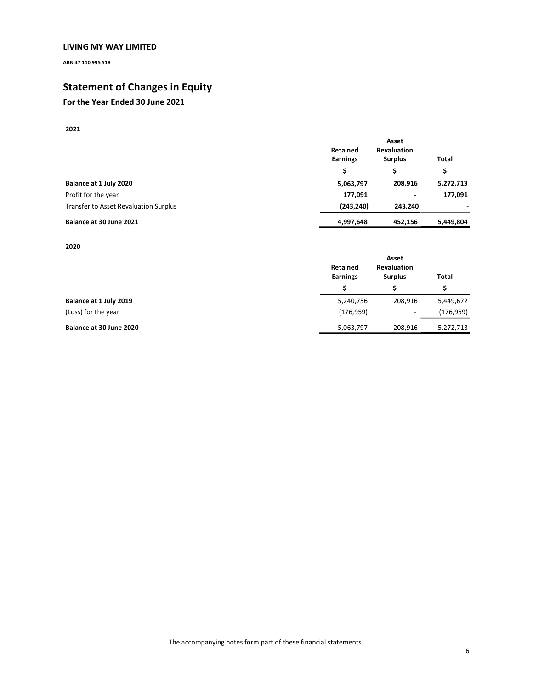**ABN 47 110 995 518** 

# **Statement of Changes in Equity**

# **For the Year Ended 30 June 2021**

## **2021**

|                                       | Retained        | Asset<br><b>Revaluation</b> |              |
|---------------------------------------|-----------------|-----------------------------|--------------|
|                                       | <b>Earnings</b> | <b>Surplus</b><br>Ś         | <b>Total</b> |
|                                       | Ś               |                             | Ś            |
| Balance at 1 July 2020                | 5,063,797       | 208,916                     | 5,272,713    |
| Profit for the year                   | 177,091         | $\blacksquare$              | 177,091      |
| Transfer to Asset Revaluation Surplus | (243, 240)      | 243.240                     |              |
| Balance at 30 June 2021               | 4,997,648       | 452.156                     | 5,449,804    |

**2020** 

|                         | Retained<br><b>Earnings</b><br>Ś | Asset<br><b>Revaluation</b><br><b>Surplus</b> | <b>Total</b><br>Ś |
|-------------------------|----------------------------------|-----------------------------------------------|-------------------|
|                         |                                  |                                               |                   |
| Balance at 1 July 2019  | 5,240,756                        | 208,916                                       | 5,449,672         |
| (Loss) for the year     | (176, 959)                       | $\overline{\phantom{a}}$                      | (176, 959)        |
| Balance at 30 June 2020 | 5,063,797                        | 208,916                                       | 5,272,713         |

The accompanying notes form part of these financial statements.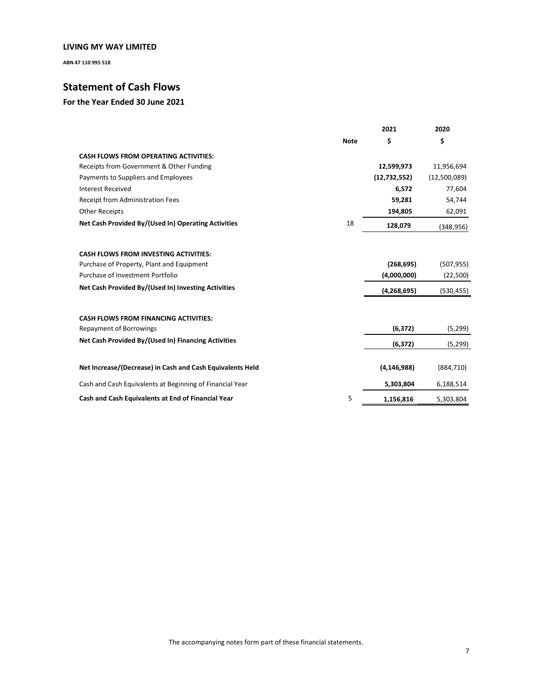**ABN 47 110 995 518** 

# **Statement of Cash Flows**

|                                                           |             | 2021           | 2020         |
|-----------------------------------------------------------|-------------|----------------|--------------|
|                                                           | <b>Note</b> | \$             | \$           |
| <b>CASH FLOWS FROM OPERATING ACTIVITIES:</b>              |             |                |              |
| Receipts from Government & Other Funding                  |             | 12,599,973     | 11,956,694   |
| Payments to Suppliers and Employees                       |             | (12, 732, 552) | (12,500,089) |
| <b>Interest Received</b>                                  |             | 6,572          | 77,604       |
| Receipt from Administration Fees                          |             | 59,281         | 54,744       |
| <b>Other Receipts</b>                                     |             | 194,805        | 62,091       |
| Net Cash Provided By/(Used In) Operating Activities       | 18          | 128,079        | (348, 956)   |
| <b>CASH FLOWS FROM INVESTING ACTIVITIES:</b>              |             |                |              |
| Purchase of Property, Plant and Equipment                 |             | (268, 695)     | (507, 955)   |
| Purchase of Investment Portfolio                          |             | (4,000,000)    | (22,500)     |
| Net Cash Provided By/(Used In) Investing Activities       |             | (4,268,695)    | (530, 455)   |
|                                                           |             |                |              |
| <b>CASH FLOWS FROM FINANCING ACTIVITIES:</b>              |             |                |              |
| Repayment of Borrowings                                   |             | (6, 372)       | (5, 299)     |
| Net Cash Provided By/(Used In) Financing Activities       |             | (6, 372)       | (5, 299)     |
| Net Increase/(Decrease) in Cash and Cash Equivalents Held |             | (4, 146, 988)  | (884, 710)   |
| Cash and Cash Equivalents at Beginning of Financial Year  |             | 5,303,804      | 6,188,514    |
| Cash and Cash Equivalents at End of Financial Year        | 5           | 1,156,816      | 5,303,804    |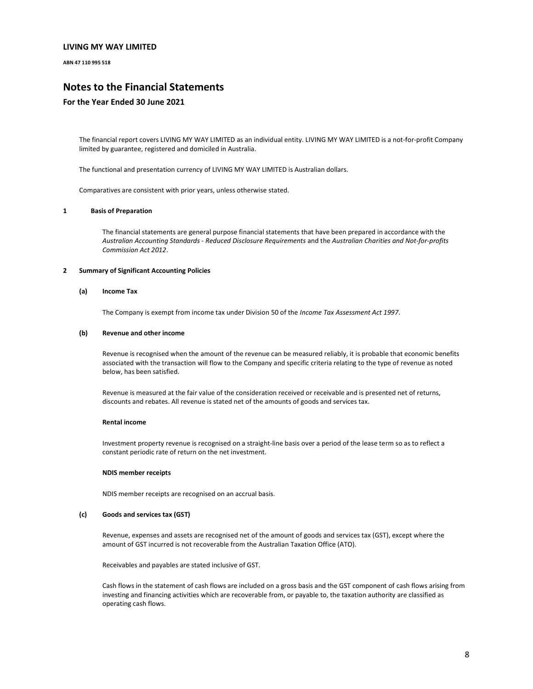**ABN 47 110 995 518** 

# **Notes to the Financial Statements**

### **For the Year Ended 30 June 2021**

The financial report covers LIVING MY WAY LIMITED as an individual entity. LIVING MY WAY LIMITED is a not-for-profit Company limited by guarantee, registered and domiciled in Australia.

The functional and presentation currency of LIVING MY WAY LIMITED is Australian dollars.

Comparatives are consistent with prior years, unless otherwise stated.

#### **1 Basis of Preparation**

The financial statements are general purpose financial statements that have been prepared in accordance with the *Australian Accounting Standards - Reduced Disclosure Requirements* and the *Australian Charities and Not-for-profits Commission Act 2012*.

#### **2 Summary of Significant Accounting Policies**

#### **(a) Income Tax**

The Company is exempt from income tax under Division 50 of the *Income Tax Assessment Act 1997*.

#### **(b) Revenue and other income**

Revenue is recognised when the amount of the revenue can be measured reliably, it is probable that economic benefits associated with the transaction will flow to the Company and specific criteria relating to the type of revenue as noted below, has been satisfied.

Revenue is measured at the fair value of the consideration received or receivable and is presented net of returns, discounts and rebates. All revenue is stated net of the amounts of goods and services tax.

#### **Rental income**

Investment property revenue is recognised on a straight-line basis over a period of the lease term so as to reflect a constant periodic rate of return on the net investment.

#### **NDIS member receipts**

NDIS member receipts are recognised on an accrual basis.

#### **(c) Goods and services tax (GST)**

Revenue, expenses and assets are recognised net of the amount of goods and services tax (GST), except where the amount of GST incurred is not recoverable from the Australian Taxation Office (ATO).

Receivables and payables are stated inclusive of GST.

Cash flows in the statement of cash flows are included on a gross basis and the GST component of cash flows arising from investing and financing activities which are recoverable from, or payable to, the taxation authority are classified as operating cash flows.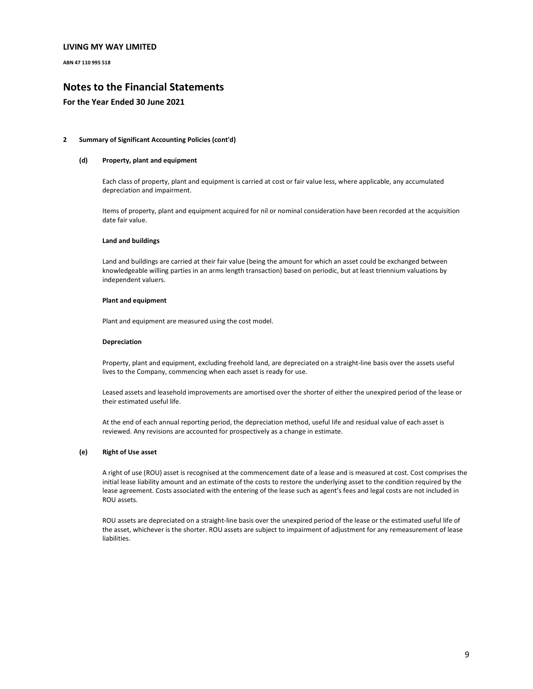**ABN 47 110 995 518** 

# **Notes to the Financial Statements**

### **For the Year Ended 30 June 2021**

#### **2 Summary of Significant Accounting Policies (cont'd)**

#### **(d) Property, plant and equipment**

Each class of property, plant and equipment is carried at cost or fair value less, where applicable, any accumulated depreciation and impairment.

Items of property, plant and equipment acquired for nil or nominal consideration have been recorded at the acquisition date fair value.

#### **Land and buildings**

Land and buildings are carried at their fair value (being the amount for which an asset could be exchanged between knowledgeable willing parties in an arms length transaction) based on periodic, but at least triennium valuations by independent valuers.

#### **Plant and equipment**

Plant and equipment are measured using the cost model.

#### **Depreciation**

Property, plant and equipment, excluding freehold land, are depreciated on a straight-line basis over the assets useful lives to the Company, commencing when each asset is ready for use.

Leased assets and leasehold improvements are amortised over the shorter of either the unexpired period of the lease or their estimated useful life.

At the end of each annual reporting period, the depreciation method, useful life and residual value of each asset is reviewed. Any revisions are accounted for prospectively as a change in estimate.

#### **(e) Right of Use asset**

A right of use (ROU) asset is recognised at the commencement date of a lease and is measured at cost. Cost comprises the initial lease liability amount and an estimate of the costs to restore the underlying asset to the condition required by the lease agreement. Costs associated with the entering of the lease such as agent's fees and legal costs are not included in ROU assets.

ROU assets are depreciated on a straight-line basis over the unexpired period of the lease or the estimated useful life of the asset, whichever is the shorter. ROU assets are subject to impairment of adjustment for any remeasurement of lease liabilities.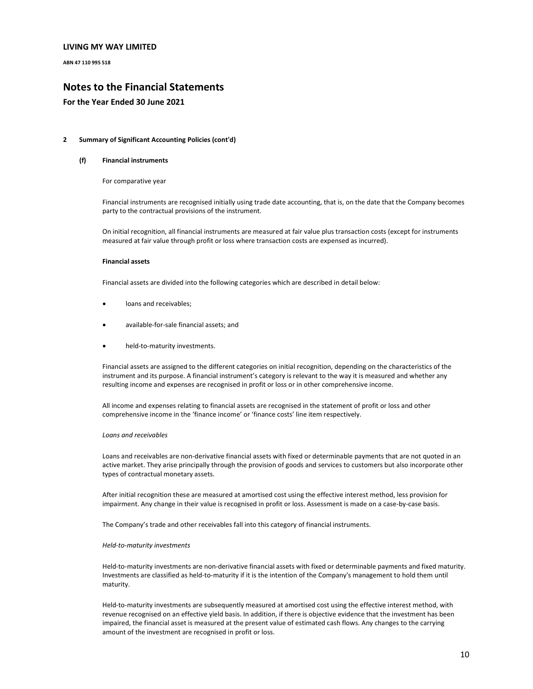**ABN 47 110 995 518** 

# **Notes to the Financial Statements**

### **For the Year Ended 30 June 2021**

#### **2 Summary of Significant Accounting Policies (cont'd)**

#### **(f) Financial instruments**

For comparative year

Financial instruments are recognised initially using trade date accounting, that is, on the date that the Company becomes party to the contractual provisions of the instrument.

On initial recognition, all financial instruments are measured at fair value plus transaction costs (except for instruments measured at fair value through profit or loss where transaction costs are expensed as incurred).

#### **Financial assets**

Financial assets are divided into the following categories which are described in detail below:

- loans and receivables:
- available-for-sale financial assets; and
- held-to-maturity investments.

Financial assets are assigned to the different categories on initial recognition, depending on the characteristics of the instrument and its purpose. A financial instrument's category is relevant to the way it is measured and whether any resulting income and expenses are recognised in profit or loss or in other comprehensive income.

All income and expenses relating to financial assets are recognised in the statement of profit or loss and other comprehensive income in the 'finance income' or 'finance costs' line item respectively.

#### *Loans and receivables*

Loans and receivables are non-derivative financial assets with fixed or determinable payments that are not quoted in an active market. They arise principally through the provision of goods and services to customers but also incorporate other types of contractual monetary assets.

After initial recognition these are measured at amortised cost using the effective interest method, less provision for impairment. Any change in their value is recognised in profit or loss. Assessment is made on a case-by-case basis.

The Company's trade and other receivables fall into this category of financial instruments.

#### *Held-to-maturity investments*

Held-to-maturity investments are non-derivative financial assets with fixed or determinable payments and fixed maturity. Investments are classified as held-to-maturity if it is the intention of the Company's management to hold them until maturity.

Held-to-maturity investments are subsequently measured at amortised cost using the effective interest method, with revenue recognised on an effective yield basis. In addition, if there is objective evidence that the investment has been impaired, the financial asset is measured at the present value of estimated cash flows. Any changes to the carrying amount of the investment are recognised in profit or loss.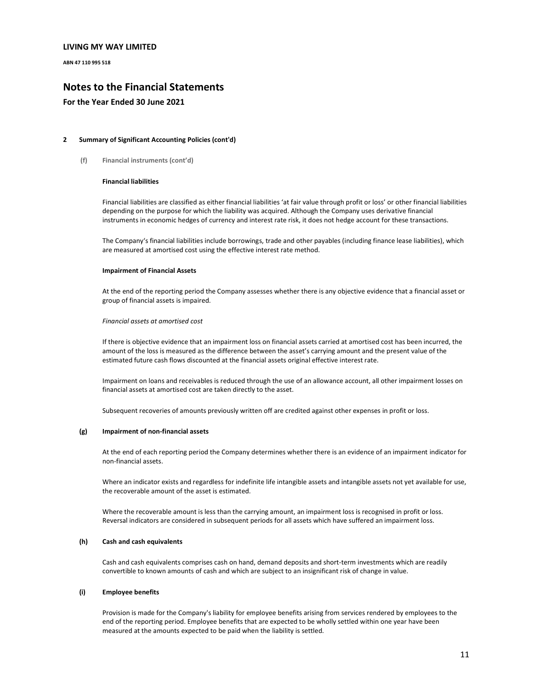**ABN 47 110 995 518** 

# **Notes to the Financial Statements**

### **For the Year Ended 30 June 2021**

#### **2 Summary of Significant Accounting Policies (cont'd)**

**(f) Financial instruments (cont'd)** 

#### **Financial liabilities**

Financial liabilities are classified as either financial liabilities 'at fair value through profit or loss' or other financial liabilities depending on the purpose for which the liability was acquired. Although the Company uses derivative financial instruments in economic hedges of currency and interest rate risk, it does not hedge account for these transactions.

The Company's financial liabilities include borrowings, trade and other payables (including finance lease liabilities), which are measured at amortised cost using the effective interest rate method.

#### **Impairment of Financial Assets**

At the end of the reporting period the Company assesses whether there is any objective evidence that a financial asset or group of financial assets is impaired.

#### *Financial assets at amortised cost*

If there is objective evidence that an impairment loss on financial assets carried at amortised cost has been incurred, the amount of the loss is measured as the difference between the asset's carrying amount and the present value of the estimated future cash flows discounted at the financial assets original effective interest rate.

Impairment on loans and receivables is reduced through the use of an allowance account, all other impairment losses on financial assets at amortised cost are taken directly to the asset.

Subsequent recoveries of amounts previously written off are credited against other expenses in profit or loss.

#### **(g) Impairment of non-financial assets**

At the end of each reporting period the Company determines whether there is an evidence of an impairment indicator for non-financial assets.

Where an indicator exists and regardless for indefinite life intangible assets and intangible assets not yet available for use, the recoverable amount of the asset is estimated.

Where the recoverable amount is less than the carrying amount, an impairment loss is recognised in profit or loss. Reversal indicators are considered in subsequent periods for all assets which have suffered an impairment loss.

#### **(h) Cash and cash equivalents**

Cash and cash equivalents comprises cash on hand, demand deposits and short-term investments which are readily convertible to known amounts of cash and which are subject to an insignificant risk of change in value.

#### **(i) Employee benefits**

Provision is made for the Company's liability for employee benefits arising from services rendered by employees to the end of the reporting period. Employee benefits that are expected to be wholly settled within one year have been measured at the amounts expected to be paid when the liability is settled.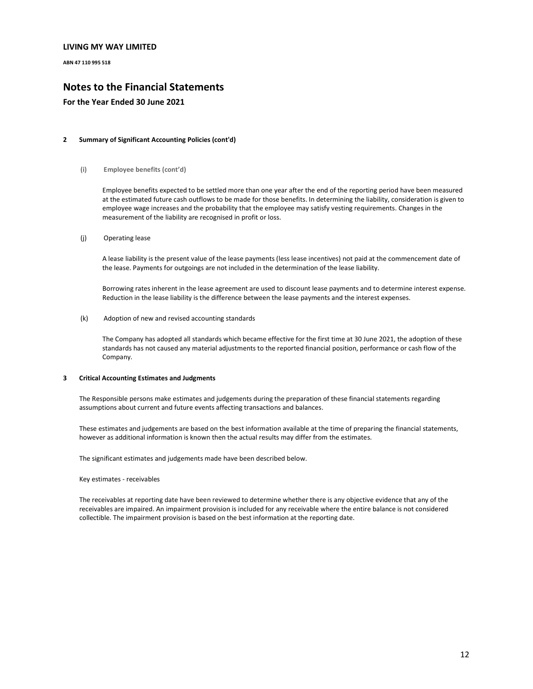**ABN 47 110 995 518** 

# **Notes to the Financial Statements**

### **For the Year Ended 30 June 2021**

#### **2 Summary of Significant Accounting Policies (cont'd)**

**(i) Employee benefits (cont'd)**

Employee benefits expected to be settled more than one year after the end of the reporting period have been measured at the estimated future cash outflows to be made for those benefits. In determining the liability, consideration is given to employee wage increases and the probability that the employee may satisfy vesting requirements. Changes in the measurement of the liability are recognised in profit or loss.

(j) Operating lease

A lease liability is the present value of the lease payments (less lease incentives) not paid at the commencement date of the lease. Payments for outgoings are not included in the determination of the lease liability.

Borrowing rates inherent in the lease agreement are used to discount lease payments and to determine interest expense. Reduction in the lease liability is the difference between the lease payments and the interest expenses.

(k) Adoption of new and revised accounting standards

The Company has adopted all standards which became effective for the first time at 30 June 2021, the adoption of these standards has not caused any material adjustments to the reported financial position, performance or cash flow of the Company.

#### **3 Critical Accounting Estimates and Judgments**

The Responsible persons make estimates and judgements during the preparation of these financial statements regarding assumptions about current and future events affecting transactions and balances.

These estimates and judgements are based on the best information available at the time of preparing the financial statements, however as additional information is known then the actual results may differ from the estimates.

The significant estimates and judgements made have been described below.

Key estimates - receivables

The receivables at reporting date have been reviewed to determine whether there is any objective evidence that any of the receivables are impaired. An impairment provision is included for any receivable where the entire balance is not considered collectible. The impairment provision is based on the best information at the reporting date.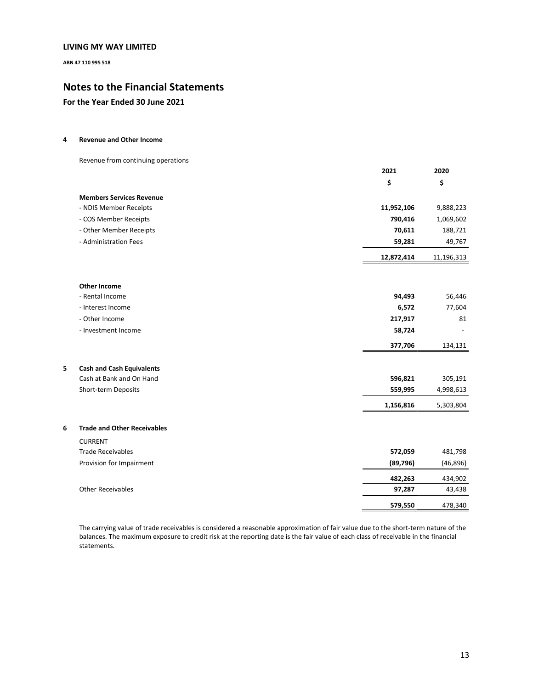**ABN 47 110 995 518** 

# **Notes to the Financial Statements**

## **For the Year Ended 30 June 2021**

#### **4 Revenue and Other Income**

Revenue from continuing operations

|   |                                    | 2021       | 2020       |
|---|------------------------------------|------------|------------|
|   |                                    | \$         | \$         |
|   | <b>Members Services Revenue</b>    |            |            |
|   | - NDIS Member Receipts             | 11,952,106 | 9,888,223  |
|   | - COS Member Receipts              | 790,416    | 1,069,602  |
|   | - Other Member Receipts            | 70,611     | 188,721    |
|   | - Administration Fees              | 59,281     | 49,767     |
|   |                                    | 12,872,414 | 11,196,313 |
|   | <b>Other Income</b>                |            |            |
|   | - Rental Income                    | 94,493     | 56,446     |
|   | - Interest Income                  | 6,572      | 77,604     |
|   | - Other Income                     | 217,917    | 81         |
|   | - Investment Income                | 58,724     |            |
|   |                                    | 377,706    | 134,131    |
| 5 | <b>Cash and Cash Equivalents</b>   |            |            |
|   | Cash at Bank and On Hand           | 596,821    | 305,191    |
|   | Short-term Deposits                | 559,995    | 4,998,613  |
|   |                                    | 1,156,816  | 5,303,804  |
| 6 | <b>Trade and Other Receivables</b> |            |            |
|   | <b>CURRENT</b>                     |            |            |
|   | <b>Trade Receivables</b>           | 572,059    | 481,798    |
|   | Provision for Impairment           | (89, 796)  | (46, 896)  |
|   |                                    | 482,263    | 434,902    |
|   | <b>Other Receivables</b>           | 97,287     | 43,438     |
|   |                                    | 579,550    | 478,340    |

The carrying value of trade receivables is considered a reasonable approximation of fair value due to the short-term nature of the balances. The maximum exposure to credit risk at the reporting date is the fair value of each class of receivable in the financial statements.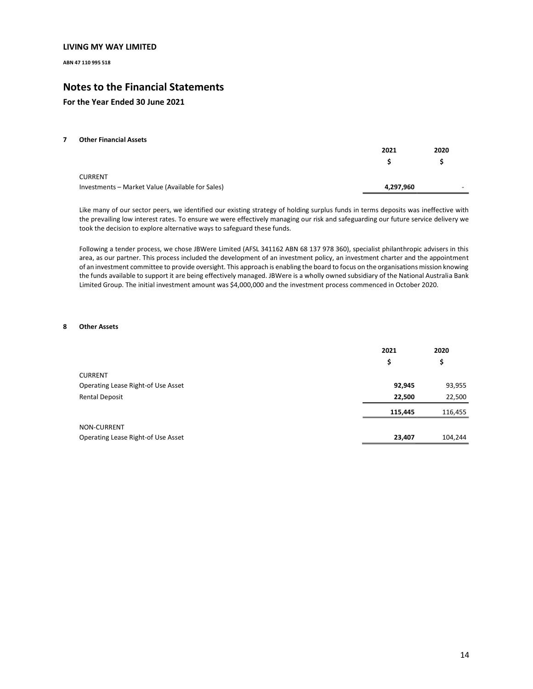**ABN 47 110 995 518** 

# **Notes to the Financial Statements**

## **For the Year Ended 30 June 2021**

#### **7 Other Financial Assets**

|                                                  | 2021      | 2020 |
|--------------------------------------------------|-----------|------|
|                                                  |           |      |
| <b>CURRENT</b>                                   |           |      |
| Investments - Market Value (Available for Sales) | 4,297,960 | -    |

Like many of our sector peers, we identified our existing strategy of holding surplus funds in terms deposits was ineffective with the prevailing low interest rates. To ensure we were effectively managing our risk and safeguarding our future service delivery we took the decision to explore alternative ways to safeguard these funds.

Following a tender process, we chose JBWere Limited (AFSL 341162 ABN 68 137 978 360), specialist philanthropic advisers in this area, as our partner. This process included the development of an investment policy, an investment charter and the appointment of an investment committee to provide oversight. This approach is enabling the board to focus on the organisations mission knowing the funds available to support it are being effectively managed. JBWere is a wholly owned subsidiary of the National Australia Bank Limited Group. The initial investment amount was \$4,000,000 and the investment process commenced in October 2020.

#### **8 Other Assets**

|                                    | 2021    | 2020    |
|------------------------------------|---------|---------|
|                                    | \$      | \$      |
| <b>CURRENT</b>                     |         |         |
| Operating Lease Right-of Use Asset | 92,945  | 93,955  |
| Rental Deposit                     | 22,500  | 22,500  |
|                                    | 115,445 | 116,455 |
| NON-CURRENT                        |         |         |
| Operating Lease Right-of Use Asset | 23,407  | 104,244 |
|                                    |         |         |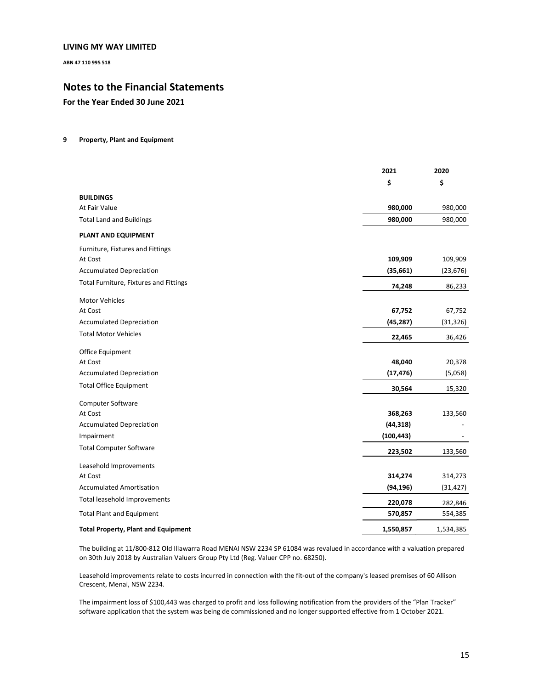**ABN 47 110 995 518** 

# **Notes to the Financial Statements**

**For the Year Ended 30 June 2021** 

#### **9 Property, Plant and Equipment**

|                                            | 2021       | 2020      |
|--------------------------------------------|------------|-----------|
|                                            | \$         | \$        |
| <b>BUILDINGS</b>                           |            |           |
| At Fair Value                              | 980,000    | 980,000   |
| <b>Total Land and Buildings</b>            | 980,000    | 980,000   |
| PLANT AND EQUIPMENT                        |            |           |
| Furniture, Fixtures and Fittings           |            |           |
| At Cost                                    | 109,909    | 109,909   |
| <b>Accumulated Depreciation</b>            | (35, 661)  | (23, 676) |
| Total Furniture, Fixtures and Fittings     | 74,248     | 86,233    |
| <b>Motor Vehicles</b>                      |            |           |
| At Cost                                    | 67,752     | 67,752    |
| <b>Accumulated Depreciation</b>            | (45, 287)  | (31, 326) |
| <b>Total Motor Vehicles</b>                | 22,465     | 36,426    |
| Office Equipment                           |            |           |
| At Cost                                    | 48,040     | 20,378    |
| <b>Accumulated Depreciation</b>            | (17, 476)  | (5,058)   |
| <b>Total Office Equipment</b>              | 30,564     | 15,320    |
| <b>Computer Software</b>                   |            |           |
| At Cost                                    | 368,263    | 133,560   |
| <b>Accumulated Depreciation</b>            | (44, 318)  |           |
| Impairment                                 | (100, 443) |           |
| <b>Total Computer Software</b>             | 223,502    | 133,560   |
| Leasehold Improvements                     |            |           |
| At Cost                                    | 314,274    | 314,273   |
| <b>Accumulated Amortisation</b>            | (94, 196)  | (31, 427) |
| Total leasehold Improvements               | 220,078    | 282,846   |
| <b>Total Plant and Equipment</b>           | 570,857    | 554,385   |
| <b>Total Property, Plant and Equipment</b> | 1,550,857  | 1,534,385 |

The building at 11/800-812 Old Illawarra Road MENAI NSW 2234 SP 61084 was revalued in accordance with a valuation prepared on 30th July 2018 by Australian Valuers Group Pty Ltd (Reg. Valuer CPP no. 68250).

Leasehold improvements relate to costs incurred in connection with the fit-out of the company's leased premises of 60 Allison Crescent, Menai, NSW 2234.

The impairment loss of \$100,443 was charged to profit and loss following notification from the providers of the "Plan Tracker" software application that the system was being de commissioned and no longer supported effective from 1 October 2021.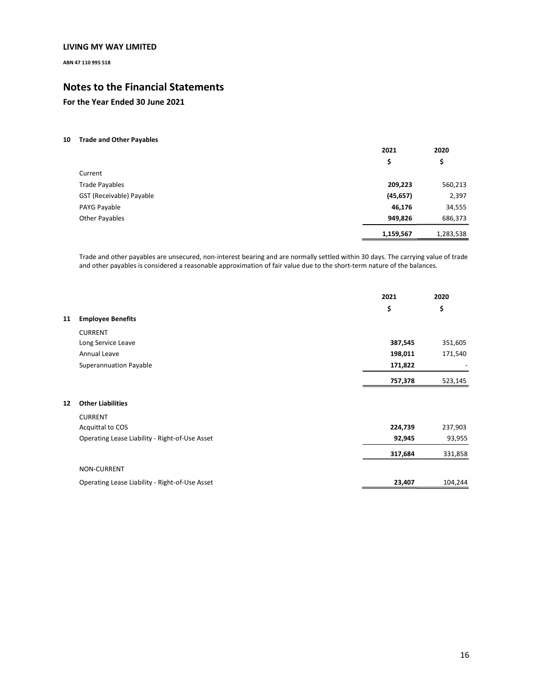**ABN 47 110 995 518** 

# **Notes to the Financial Statements**

**For the Year Ended 30 June 2021** 

### **10 Trade and Other Payables**

|                          | 2021      | 2020      |
|--------------------------|-----------|-----------|
|                          | \$        | \$        |
| Current                  |           |           |
| <b>Trade Payables</b>    | 209,223   | 560,213   |
| GST (Receivable) Payable | (45, 657) | 2,397     |
| PAYG Payable             | 46,176    | 34,555    |
| <b>Other Payables</b>    | 949,826   | 686,373   |
|                          | 1,159,567 | 1,283,538 |

Trade and other payables are unsecured, non-interest bearing and are normally settled within 30 days. The carrying value of trade and other payables is considered a reasonable approximation of fair value due to the short-term nature of the balances.

|    |                                                | 2021    | 2020    |
|----|------------------------------------------------|---------|---------|
|    |                                                | \$      | \$      |
| 11 | <b>Employee Benefits</b>                       |         |         |
|    | <b>CURRENT</b>                                 |         |         |
|    | Long Service Leave                             | 387,545 | 351,605 |
|    | Annual Leave                                   | 198,011 | 171,540 |
|    | Superannuation Payable                         | 171,822 |         |
|    |                                                | 757,378 | 523,145 |
| 12 | <b>Other Liabilities</b>                       |         |         |
|    | <b>CURRENT</b>                                 |         |         |
|    | Acquittal to COS                               | 224,739 | 237,903 |
|    | Operating Lease Liability - Right-of-Use Asset | 92,945  | 93,955  |
|    |                                                | 317,684 | 331,858 |
|    | <b>NON-CURRENT</b>                             |         |         |
|    | Operating Lease Liability - Right-of-Use Asset | 23,407  | 104,244 |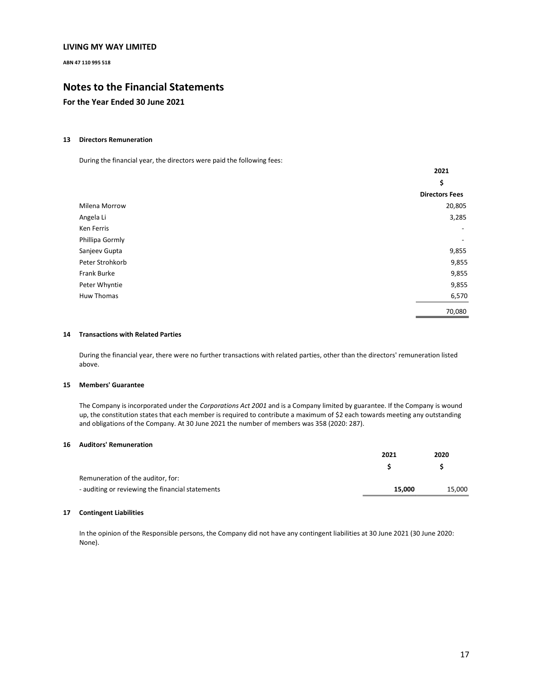**ABN 47 110 995 518** 

# **Notes to the Financial Statements**

## **For the Year Ended 30 June 2021**

#### **13 Directors Remuneration**

During the financial year, the directors were paid the following fees:

|                 | 2021                     |
|-----------------|--------------------------|
|                 | \$                       |
|                 | <b>Directors Fees</b>    |
| Milena Morrow   | 20,805                   |
| Angela Li       | 3,285                    |
| Ken Ferris      | $\overline{\phantom{a}}$ |
| Phillipa Gormly | $\overline{\phantom{a}}$ |
| Sanjeev Gupta   | 9,855                    |
| Peter Strohkorb | 9,855                    |
| Frank Burke     | 9,855                    |
| Peter Whyntie   | 9,855                    |
| Huw Thomas      | 6,570                    |
|                 | 70,080                   |

#### **14 Transactions with Related Parties**

During the financial year, there were no further transactions with related parties, other than the directors' remuneration listed above.

#### **15 Members' Guarantee**

The Company is incorporated under the *Corporations Act 2001* and is a Company limited by guarantee. If the Company is wound up, the constitution states that each member is required to contribute a maximum of \$2 each towards meeting any outstanding and obligations of the Company. At 30 June 2021 the number of members was 358 (2020: 287).

### **16 Auditors' Remuneration**

|                                                  | 2021   | 2020   |
|--------------------------------------------------|--------|--------|
|                                                  |        |        |
| Remuneration of the auditor, for:                |        |        |
| - auditing or reviewing the financial statements | 15.000 | 15,000 |

#### **17 Contingent Liabilities**

In the opinion of the Responsible persons, the Company did not have any contingent liabilities at 30 June 2021 (30 June 2020: None).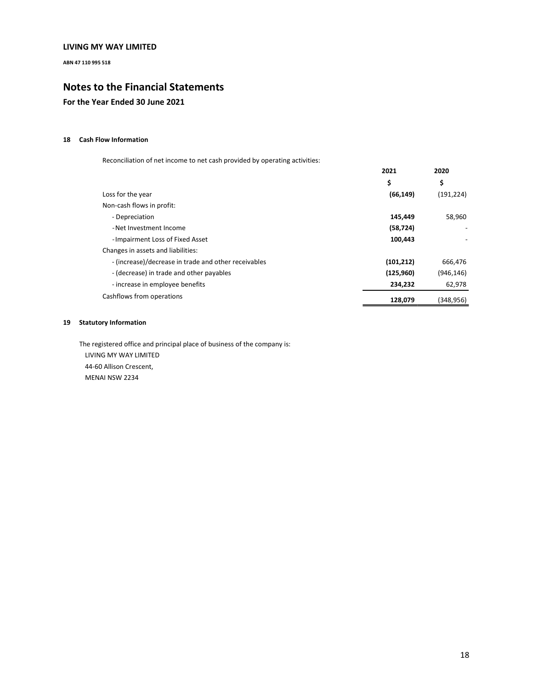**ABN 47 110 995 518** 

# **Notes to the Financial Statements**

# **For the Year Ended 30 June 2021**

## **18 Cash Flow Information**

Reconciliation of net income to net cash provided by operating activities:

|                                                      | 2021       | 2020<br>\$ |
|------------------------------------------------------|------------|------------|
|                                                      | \$         |            |
| Loss for the year                                    | (66, 149)  | (191, 224) |
| Non-cash flows in profit:                            |            |            |
| - Depreciation                                       | 145.449    | 58.960     |
| - Net Investment Income                              | (58, 724)  |            |
| -Impairment Loss of Fixed Asset                      | 100,443    | -          |
| Changes in assets and liabilities:                   |            |            |
| - (increase)/decrease in trade and other receivables | (101, 212) | 666,476    |
| - (decrease) in trade and other payables             | (125,960)  | (946, 146) |
| - increase in employee benefits                      | 234,232    | 62,978     |
| Cashflows from operations                            | 128,079    | (348,956)  |

## **19 Statutory Information**

The registered office and principal place of business of the company is: LIVING MY WAY LIMITED 44-60 Allison Crescent, MENAI NSW 2234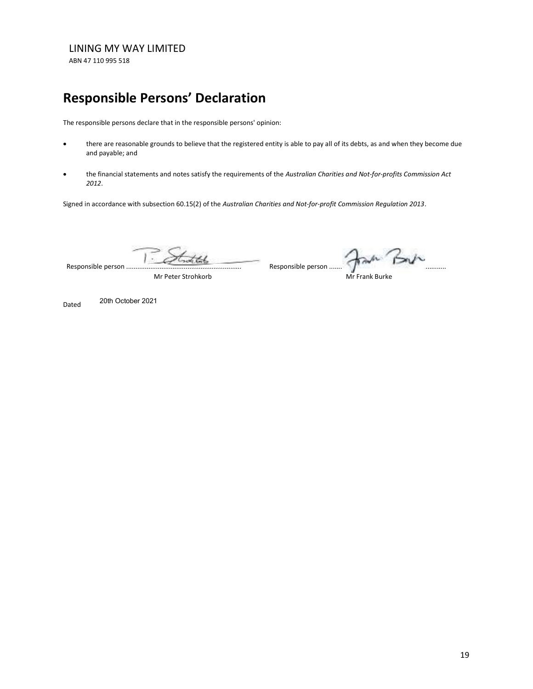ABN 47 110 995 518

# **Responsible Persons' Declaration**

The responsible persons declare that in the responsible persons' opinion:

- there are reasonable grounds to believe that the registered entity is able to pay all of its debts, as and when they become due and payable; and
- · the financial statements and notes satisfy the requirements of the *Australian Charities and Not-for-profits Commission Act 2012*.

Signed in accordance with subsection 60.15(2) of the *Australian Charities and Not-for-profit Commission Regulation 2013*.

Responsible person ... .............................................................

Mr Peter Strohkorb

Responsible person ...............................................................

Mr Frank Burke

Dated 20th October 2021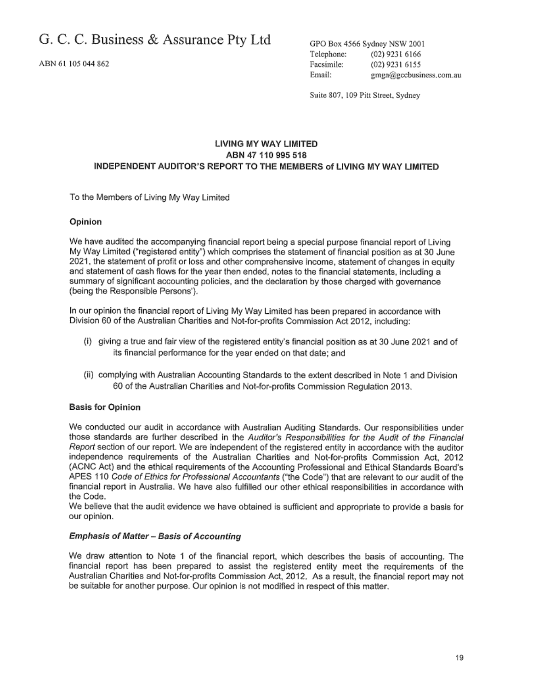ABN 61 105 044 862

GPO Box 4566 Sydney NSW 2001 Telephone: (02) 9231 6166 Facsimile: (02) 9231 6155 Email: gmga@gccbusiness.com.au

Suite 807, 109 Pitt Street, Sydney

# LIVING MY WAY LIMITED ABN 47 110 995 518 INDEPENDENT AUDITOR'S REPORT TO THE MEMBERS of LIVING MY WAY LIMITED

To the Members of Living My Way Limited

## Opinion

We have audited the accompanying financial report being a special purpose financial report of Living My Way Limited ("registered entity") which comprises the statement of financial position as at 30 June 2021, the statement of profit or loss and other comprehensive income, statement of changes in equity and statement of cash flows for the year then ended, notes to the financial statements, including a summary of significant accounting policies, and the declaration by those charged with governance (being the Responsible Persons').

In our opinion the financial report of Living My Way Limited has been prepared in accordance with Division 60 of the Australian Charities and Not-for-profits Commission Act 2012, including:

- (i) giving a true and fair view of the registered entity's financial position as at 30 June 2021 and of its financial performance for the year ended on that date; and
- (ii) complying with Australian Accounting Standards to the extent described in Note 1 and Division 60 of the Australian Charities and Not-for-profits Commission Regulation 2013.

# **Basis for Opinion**

We conducted our audit in accordance with Australian Auditing Standards, Our responsibilities under those standards are further described in the Auditor's Responsibilities for the Audit of the Financial Report section of our report. We are independent of the registered entity in accordance with the auditor independence requirements of the Australian Charities and Not-for-profits Commission Act, 2012 (ACNC Act) and the ethical requirements of the Accounting Professional and Ethical Standards Board's APES 110 Code of Ethics for Professional Accountants ("the Code") that are relevant to our audit of the financial report in Australia. We have also fulfilled our other ethical responsibilities in accordance with the Code.

We believe that the audit evidence we have obtained is sufficient and appropriate to provide a basis for our opinion.

## **Emphasis of Matter - Basis of Accounting**

We draw attention to Note 1 of the financial report, which describes the basis of accounting. The financial report has been prepared to assist the registered entity meet the requirements of the Australian Charities and Not-for-profits Commission Act, 2012. As a result, the financial report may not be suitable for another purpose. Our opinion is not modified in respect of this matter.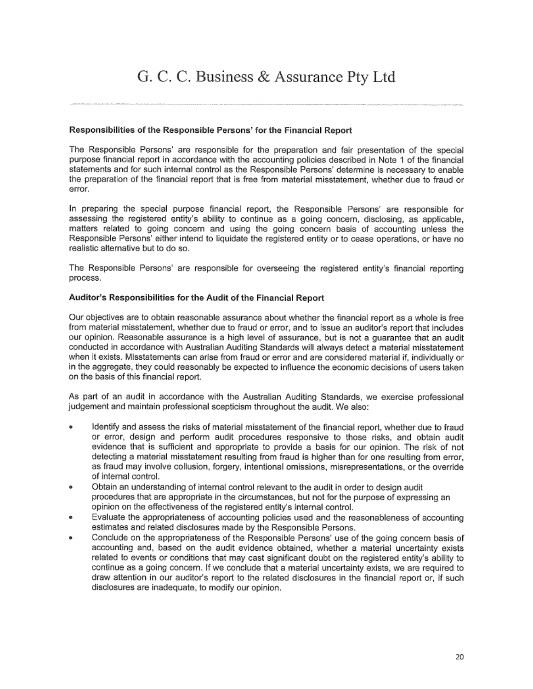# G. C. C. Business & Assurance Pty Ltd

## Responsibilities of the Responsible Persons' for the Financial Report

The Responsible Persons' are responsible for the preparation and fair presentation of the special purpose financial report in accordance with the accounting policies described in Note 1 of the financial statements and for such internal control as the Responsible Persons' determine is necessary to enable the preparation of the financial report that is free from material misstatement, whether due to fraud or error.

In preparing the special purpose financial report, the Responsible Persons' are responsible for assessing the registered entity's ability to continue as a going concern, disclosing, as applicable, matters related to going concern and using the going concern basis of accounting unless the Responsible Persons' either intend to liquidate the registered entity or to cease operations, or have no realistic alternative but to do so.

The Responsible Persons' are responsible for overseeing the registered entity's financial reporting process.

## Auditor's Responsibilities for the Audit of the Financial Report

Our objectives are to obtain reasonable assurance about whether the financial report as a whole is free from material misstatement, whether due to fraud or error, and to issue an auditor's report that includes our opinion. Reasonable assurance is a high level of assurance, but is not a quarantee that an audit conducted in accordance with Australian Auditing Standards will always detect a material misstatement when it exists. Misstatements can arise from fraud or error and are considered material if, individually or in the aggregate, they could reasonably be expected to influence the economic decisions of users taken on the basis of this financial report.

As part of an audit in accordance with the Australian Auditing Standards, we exercise professional judgement and maintain professional scepticism throughout the audit. We also:

- Identify and assess the risks of material misstatement of the financial report, whether due to fraud or error, design and perform audit procedures responsive to those risks, and obtain audit evidence that is sufficient and appropriate to provide a basis for our opinion. The risk of not detecting a material misstatement resulting from fraud is higher than for one resulting from error, as fraud may involve collusion, forgery, intentional omissions, misrepresentations, or the override of internal control.
- Obtain an understanding of internal control relevant to the audit in order to design audit procedures that are appropriate in the circumstances, but not for the purpose of expressing an opinion on the effectiveness of the registered entity's internal control.
- Evaluate the appropriateness of accounting policies used and the reasonableness of accounting estimates and related disclosures made by the Responsible Persons.
- Conclude on the appropriateness of the Responsible Persons' use of the going concern basis of accounting and, based on the audit evidence obtained, whether a material uncertainty exists related to events or conditions that may cast significant doubt on the registered entity's ability to continue as a going concern. If we conclude that a material uncertainty exists, we are required to draw attention in our auditor's report to the related disclosures in the financial report or, if such disclosures are inadequate, to modify our opinion.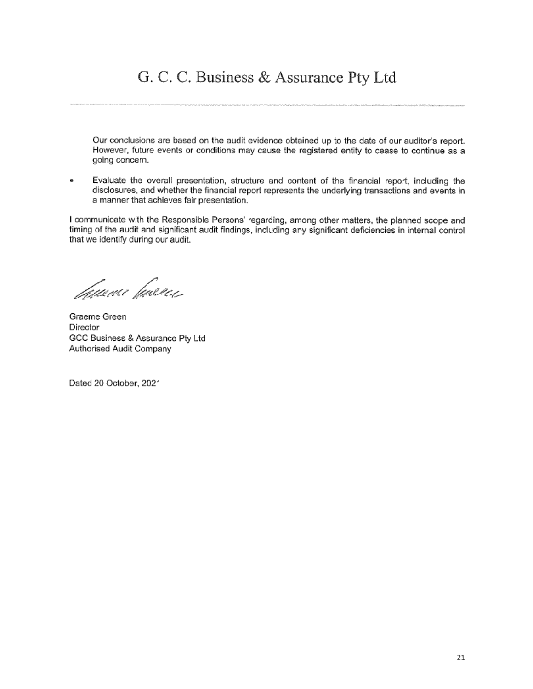# G. C. C. Business & Assurance Pty Ltd

Our conclusions are based on the audit evidence obtained up to the date of our auditor's report. However, future events or conditions may cause the registered entity to cease to continue as a going concern.

Evaluate the overall presentation, structure and content of the financial report, including the  $\bullet$ disclosures, and whether the financial report represents the underlying transactions and events in a manner that achieves fair presentation.

I communicate with the Responsible Persons' regarding, among other matters, the planned scope and timing of the audit and significant audit findings, including any significant deficiencies in internal control that we identify during our audit.

*Tamvu* finerez

Graeme Green Director GCC Business & Assurance Pty Ltd Authorised Audit Company

Dated 20 October, 2021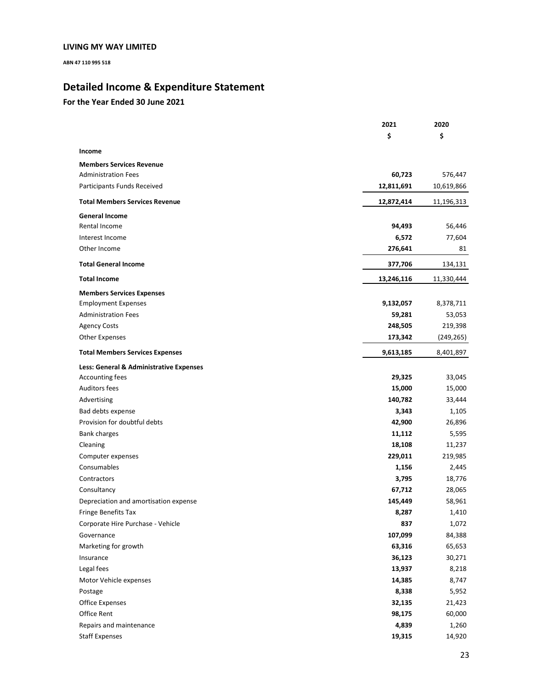ABN 47 110 995 518

# Detailed Income & Expenditure Statement

|                                         | 2021       | 2020       |
|-----------------------------------------|------------|------------|
|                                         | \$         | \$         |
| Income                                  |            |            |
| <b>Members Services Revenue</b>         |            |            |
| <b>Administration Fees</b>              | 60,723     | 576,447    |
| Participants Funds Received             | 12,811,691 | 10,619,866 |
| <b>Total Members Services Revenue</b>   | 12,872,414 | 11,196,313 |
| <b>General Income</b>                   |            |            |
| Rental Income                           | 94,493     | 56,446     |
| Interest Income                         | 6,572      | 77,604     |
| Other Income                            | 276,641    | 81         |
| <b>Total General Income</b>             | 377,706    | 134,131    |
| <b>Total Income</b>                     | 13,246,116 | 11,330,444 |
| <b>Members Services Expenses</b>        |            |            |
| <b>Employment Expenses</b>              | 9,132,057  | 8,378,711  |
| <b>Administration Fees</b>              | 59,281     | 53,053     |
| <b>Agency Costs</b>                     | 248,505    | 219,398    |
| Other Expenses                          | 173,342    | (249, 265) |
| <b>Total Members Services Expenses</b>  | 9,613,185  | 8,401,897  |
| Less: General & Administrative Expenses |            |            |
| Accounting fees                         | 29,325     | 33,045     |
| <b>Auditors fees</b>                    | 15,000     | 15,000     |
| Advertising                             | 140,782    | 33,444     |
| Bad debts expense                       | 3,343      | 1,105      |
| Provision for doubtful debts            | 42,900     | 26,896     |
| <b>Bank charges</b>                     | 11,112     | 5,595      |
| Cleaning                                | 18,108     | 11,237     |
| Computer expenses                       | 229,011    | 219,985    |
| Consumables                             | 1,156      | 2,445      |
| Contractors                             | 3,795      | 18,776     |
| Consultancy                             | 67,712     | 28,065     |
| Depreciation and amortisation expense   | 145,449    | 58,961     |
| Fringe Benefits Tax                     | 8,287      | 1,410      |
| Corporate Hire Purchase - Vehicle       | 837        | 1,072      |
| Governance                              | 107,099    | 84,388     |
| Marketing for growth                    | 63,316     | 65,653     |
| Insurance                               | 36,123     | 30,271     |
| Legal fees                              | 13,937     | 8,218      |
| Motor Vehicle expenses                  | 14,385     | 8,747      |
| Postage                                 | 8,338      | 5,952      |
| <b>Office Expenses</b>                  | 32,135     | 21,423     |
| Office Rent                             | 98,175     | 60,000     |
| Repairs and maintenance                 | 4,839      | 1,260      |
| <b>Staff Expenses</b>                   | 19,315     | 14,920     |
|                                         |            |            |